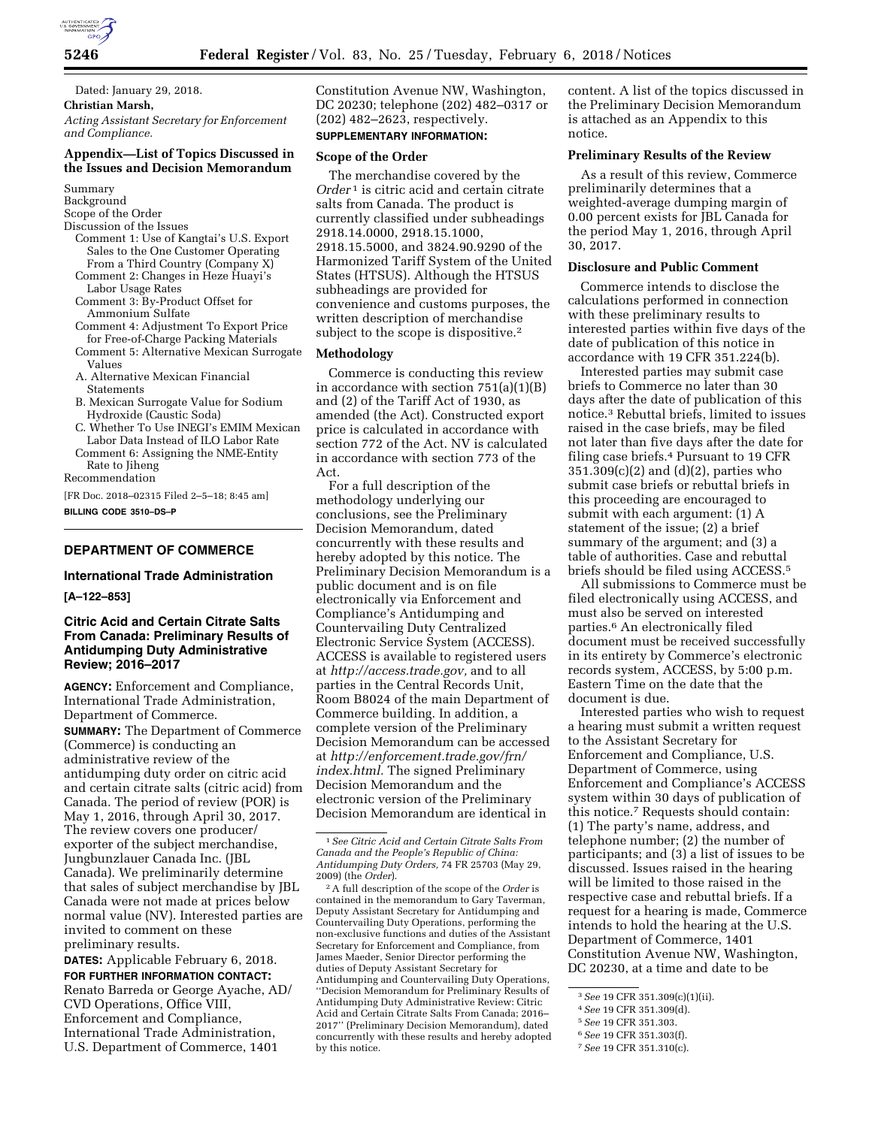

Dated: January 29, 2018. **Christian Marsh,**  *Acting Assistant Secretary for Enforcement and Compliance.* 

# **Appendix—List of Topics Discussed in the Issues and Decision Memorandum**

Summary

Background

- Scope of the Order
- Discussion of the Issues
- Comment 1: Use of Kangtai's U.S. Export Sales to the One Customer Operating From a Third Country (Company X)
- Comment 2: Changes in Heze Huayi's Labor Usage Rates Comment 3: By-Product Offset for
- Ammonium Sulfate
- Comment 4: Adjustment To Export Price for Free-of-Charge Packing Materials
- Comment 5: Alternative Mexican Surrogate Values
- A. Alternative Mexican Financial Statements
- B. Mexican Surrogate Value for Sodium Hydroxide (Caustic Soda)
- C. Whether To Use INEGI's EMIM Mexican Labor Data Instead of ILO Labor Rate
- Comment 6: Assigning the NME-Entity Rate to Jiheng

Recommendation

[FR Doc. 2018–02315 Filed 2–5–18; 8:45 am] **BILLING CODE 3510–DS–P** 

# **DEPARTMENT OF COMMERCE**

#### **International Trade Administration**

**[A–122–853]** 

### **Citric Acid and Certain Citrate Salts From Canada: Preliminary Results of Antidumping Duty Administrative Review; 2016–2017**

**AGENCY:** Enforcement and Compliance, International Trade Administration, Department of Commerce.

**SUMMARY:** The Department of Commerce (Commerce) is conducting an administrative review of the antidumping duty order on citric acid and certain citrate salts (citric acid) from Canada. The period of review (POR) is May 1, 2016, through April 30, 2017. The review covers one producer/ exporter of the subject merchandise, Jungbunzlauer Canada Inc. (JBL Canada). We preliminarily determine that sales of subject merchandise by JBL Canada were not made at prices below normal value (NV). Interested parties are invited to comment on these preliminary results.

**DATES:** Applicable February 6, 2018. **FOR FURTHER INFORMATION CONTACT:**  Renato Barreda or George Ayache, AD/ CVD Operations, Office VIII, Enforcement and Compliance, International Trade Administration, U.S. Department of Commerce, 1401

Constitution Avenue NW, Washington, DC 20230; telephone (202) 482–0317 or (202) 482–2623, respectively.

# **SUPPLEMENTARY INFORMATION:**

# **Scope of the Order**

The merchandise covered by the *Order* 1 is citric acid and certain citrate salts from Canada. The product is currently classified under subheadings 2918.14.0000, 2918.15.1000, 2918.15.5000, and 3824.90.9290 of the Harmonized Tariff System of the United States (HTSUS). Although the HTSUS subheadings are provided for convenience and customs purposes, the written description of merchandise subject to the scope is dispositive.<sup>2</sup>

#### **Methodology**

Commerce is conducting this review in accordance with section 751(a)(1)(B) and (2) of the Tariff Act of 1930, as amended (the Act). Constructed export price is calculated in accordance with section 772 of the Act. NV is calculated in accordance with section 773 of the Act.

For a full description of the methodology underlying our conclusions, see the Preliminary Decision Memorandum, dated concurrently with these results and hereby adopted by this notice. The Preliminary Decision Memorandum is a public document and is on file electronically via Enforcement and Compliance's Antidumping and Countervailing Duty Centralized Electronic Service System (ACCESS). ACCESS is available to registered users at *[http://access.trade.gov,](http://access.trade.gov)* and to all parties in the Central Records Unit, Room B8024 of the main Department of Commerce building. In addition, a complete version of the Preliminary Decision Memorandum can be accessed at *[http://enforcement.trade.gov/frn/](http://enforcement.trade.gov/frn/index.html)  [index.html.](http://enforcement.trade.gov/frn/index.html)* The signed Preliminary Decision Memorandum and the electronic version of the Preliminary Decision Memorandum are identical in

content. A list of the topics discussed in the Preliminary Decision Memorandum is attached as an Appendix to this notice.

### **Preliminary Results of the Review**

As a result of this review, Commerce preliminarily determines that a weighted-average dumping margin of 0.00 percent exists for JBL Canada for the period May 1, 2016, through April 30, 2017.

## **Disclosure and Public Comment**

Commerce intends to disclose the calculations performed in connection with these preliminary results to interested parties within five days of the date of publication of this notice in accordance with 19 CFR 351.224(b).

Interested parties may submit case briefs to Commerce no later than 30 days after the date of publication of this notice.3 Rebuttal briefs, limited to issues raised in the case briefs, may be filed not later than five days after the date for filing case briefs.4 Pursuant to 19 CFR 351.309(c)(2) and (d)(2), parties who submit case briefs or rebuttal briefs in this proceeding are encouraged to submit with each argument: (1) A statement of the issue; (2) a brief summary of the argument; and (3) a table of authorities. Case and rebuttal briefs should be filed using ACCESS.5

All submissions to Commerce must be filed electronically using ACCESS, and must also be served on interested parties.6 An electronically filed document must be received successfully in its entirety by Commerce's electronic records system, ACCESS, by 5:00 p.m. Eastern Time on the date that the document is due.

Interested parties who wish to request a hearing must submit a written request to the Assistant Secretary for Enforcement and Compliance, U.S. Department of Commerce, using Enforcement and Compliance's ACCESS system within 30 days of publication of this notice.7 Requests should contain: (1) The party's name, address, and telephone number; (2) the number of participants; and (3) a list of issues to be discussed. Issues raised in the hearing will be limited to those raised in the respective case and rebuttal briefs. If a request for a hearing is made, Commerce intends to hold the hearing at the U.S. Department of Commerce, 1401 Constitution Avenue NW, Washington, DC 20230, at a time and date to be

5*See* 19 CFR 351.303.

<sup>1</sup>*See Citric Acid and Certain Citrate Salts From Canada and the People's Republic of China: Antidumping Duty Orders,* 74 FR 25703 (May 29, 2009) (the *Order*).

<sup>2</sup>A full description of the scope of the *Order* is contained in the memorandum to Gary Taverman, Deputy Assistant Secretary for Antidumping and Countervailing Duty Operations, performing the non-exclusive functions and duties of the Assistant Secretary for Enforcement and Compliance, from James Maeder, Senior Director performing the duties of Deputy Assistant Secretary for Antidumping and Countervailing Duty Operations, ''Decision Memorandum for Preliminary Results of Antidumping Duty Administrative Review: Citric Acid and Certain Citrate Salts From Canada; 2016– 2017'' (Preliminary Decision Memorandum), dated concurrently with these results and hereby adopted by this notice.

<sup>3</sup>*See* 19 CFR 351.309(c)(1)(ii).

<sup>4</sup>*See* 19 CFR 351.309(d).

<sup>6</sup>*See* 19 CFR 351.303(f).

<sup>7</sup>*See* 19 CFR 351.310(c).